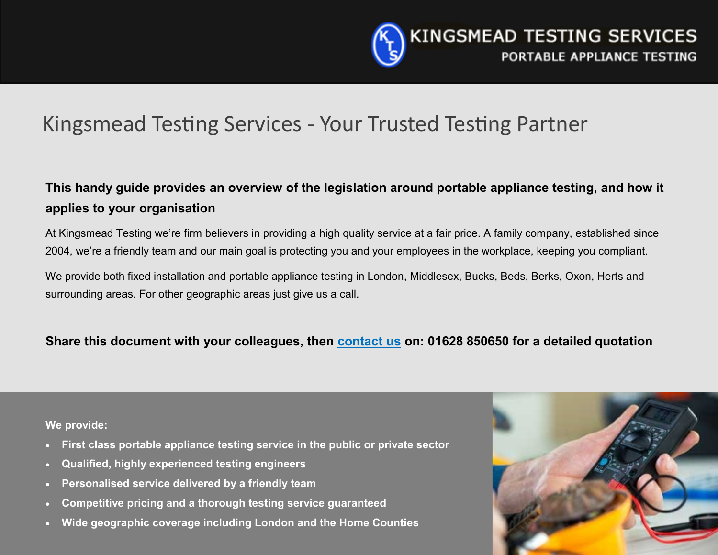

# Kingsmead Testing Services - Your Trusted Testing Partner

### **This handy guide provides an overview of the legislation around portable appliance testing, and how it applies to your organisation**

At Kingsmead Testing we're firm believers in providing a high quality service at a fair price. A family company, established since 2004, we're a friendly team and our main goal is protecting you and your employees in the workplace, keeping you compliant.

We provide both fixed installation and portable appliance testing in London, Middlesex, Bucks, Beds, Berks, Oxon, Herts and surrounding areas. For other geographic areas just give us a call.

### **Share this document with your colleagues, then [contact us](mailto:info@kingsmeadtesting.co.uk) on: 01628 850650 for a detailed quotation**

**We provide:**

- **First class portable appliance testing service in the public or private sector**
- **Qualified, highly experienced testing engineers**
- **Personalised service delivered by a friendly team**
- **Competitive pricing and a thorough testing service guaranteed**
- **Wide geographic coverage including London and the Home Counties**

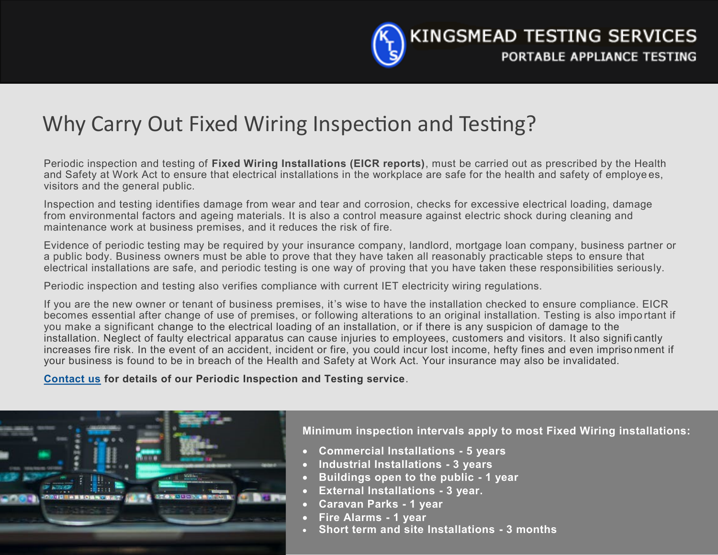

# Why Carry Out Fixed Wiring Inspection and Testing?

Periodic inspection and testing of **Fixed Wiring Installations (EICR reports)**, must be carried out as prescribed by the Health and Safety at Work Act to ensure that electrical installations in the workplace are safe for the health and safety of employe es, visitors and the general public.

Inspection and testing identifies damage from wear and tear and corrosion, checks for excessive electrical loading, damage from environmental factors and ageing materials. It is also a control measure against electric shock during cleaning and maintenance work at business premises, and it reduces the risk of fire.

Evidence of periodic testing may be required by your insurance company, landlord, mortgage loan company, business partner or a public body. Business owners must be able to prove that they have taken all reasonably practicable steps to ensure that electrical installations are safe, and periodic testing is one way of proving that you have taken these responsibilities seriously.

Periodic inspection and testing also verifies compliance with current IET electricity wiring regulations.

If you are the new owner or tenant of business premises, it's wise to have the installation checked to ensure compliance. EICR becomes essential after change of use of premises, or following alterations to an original installation. Testing is also impo rtant if you make a significant change to the electrical loading of an installation, or if there is any suspicion of damage to the installation. Neglect of faulty electrical apparatus can cause injuries to employees, customers and visitors. It also signifi cantly increases fire risk. In the event of an accident, incident or fire, you could incur lost income, hefty fines and even impriso nment if your business is found to be in breach of the Health and Safety at Work Act. Your insurance may also be invalidated.

**[Contact us](mailto:info@kingsmeadtesting.co.uk) for details of our Periodic Inspection and Testing service**.



**Minimum inspection intervals apply to most Fixed Wiring installations:**

- **Commercial Installations - 5 years**
- **Industrial Installations - 3 years**
- **Buildings open to the public - 1 year**
- **External Installations - 3 year.**
- **Caravan Parks - 1 year**
- **Fire Alarms - 1 year**
- **Short term and site Installations - 3 months**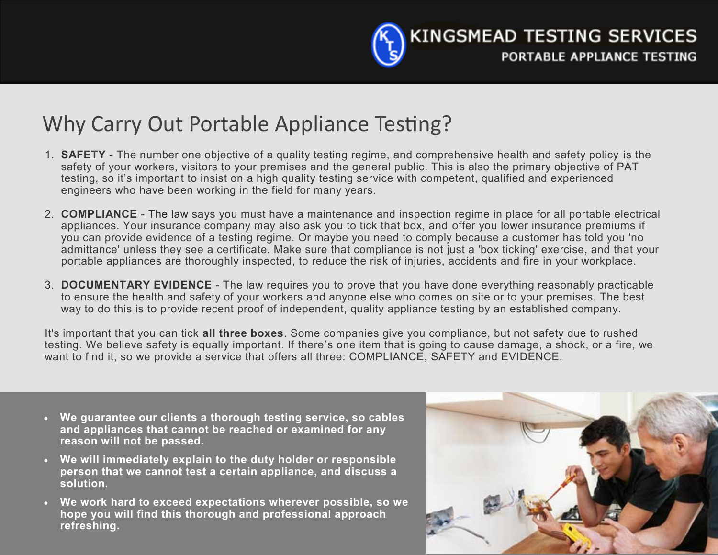

# Why Carry Out Portable Appliance Testing?

- 1. **SAFETY** The number one objective of a quality testing regime, and comprehensive health and safety policy is the safety of your workers, visitors to your premises and the general public. This is also the primary objective of PAT testing, so it's important to insist on a high quality testing service with competent, qualified and experienced engineers who have been working in the field for many years.
- 2. **COMPLIANCE** The law says you must have a maintenance and inspection regime in place for all portable electrical appliances. Your insurance company may also ask you to tick that box, and offer you lower insurance premiums if you can provide evidence of a testing regime. Or maybe you need to comply because a customer has told you 'no admittance' unless they see a certificate. Make sure that compliance is not just a 'box ticking' exercise, and that your portable appliances are thoroughly inspected, to reduce the risk of injuries, accidents and fire in your workplace.
- 3. **DOCUMENTARY EVIDENCE** The law requires you to prove that you have done everything reasonably practicable to ensure the health and safety of your workers and anyone else who comes on site or to your premises. The best way to do this is to provide recent proof of independent, quality appliance testing by an established company.

It's important that you can tick **all three boxes**. Some companies give you compliance, but not safety due to rushed testing. We believe safety is equally important. If there's one item that is going to cause damage, a shock, or a fire, we want to find it, so we provide a service that offers all three: COMPLIANCE, SAFETY and EVIDENCE.

- **We guarantee our clients a thorough testing service, so cables and appliances that cannot be reached or examined for any reason will not be passed.**
- **We will immediately explain to the duty holder or responsible person that we cannot test a certain appliance, and discuss a solution.**
- **We work hard to exceed expectations wherever possible, so we hope you will find this thorough and professional approach refreshing.**

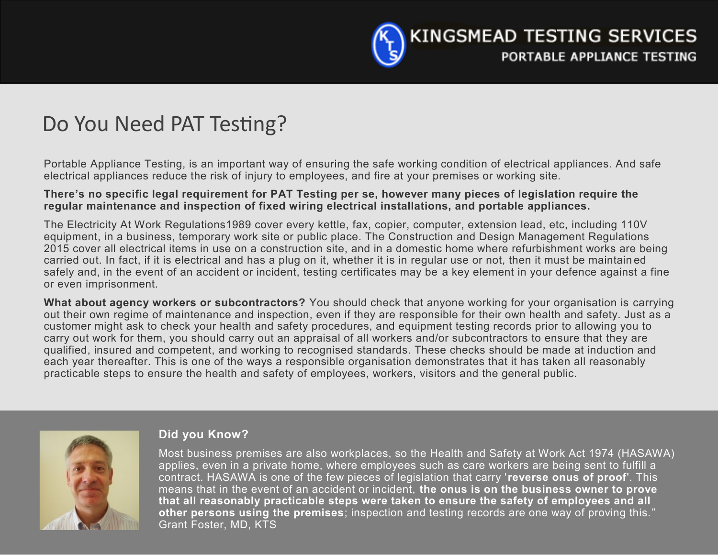

# Do You Need PAT Testing?

Portable Appliance Testing, is an important way of ensuring the safe working condition of electrical appliances. And safe electrical appliances reduce the risk of injury to employees, and fire at your premises or working site.

#### **There's no specific legal requirement for PAT Testing per se, however many pieces of legislation require the regular maintenance and inspection of fixed wiring electrical installations, and portable appliances.**

The Electricity At Work Regulations1989 cover every kettle, fax, copier, computer, extension lead, etc, including 110V equipment, in a business, temporary work site or public place. The Construction and Design Management Regulations 2015 cover all electrical items in use on a construction site, and in a domestic home where refurbishment works are being carried out. In fact, if it is electrical and has a plug on it, whether it is in regular use or not, then it must be maintain ed safely and, in the event of an accident or incident, testing certificates may be a key element in your defence against a fine or even imprisonment.

**What about agency workers or subcontractors?** You should check that anyone working for your organisation is carrying out their own regime of maintenance and inspection, even if they are responsible for their own health and safety. Just as a customer might ask to check your health and safety procedures, and equipment testing records prior to allowing you to carry out work for them, you should carry out an appraisal of all workers and/or subcontractors to ensure that they are qualified, insured and competent, and working to recognised standards. These checks should be made at induction and each year thereafter. This is one of the ways a responsible organisation demonstrates that it has taken all reasonably practicable steps to ensure the health and safety of employees, workers, visitors and the general public.



#### **Did you Know?**

Most business premises are also workplaces, so the Health and Safety at Work Act 1974 (HASAWA) applies, even in a private home, where employees such as care workers are being sent to fulfill a contract. HASAWA is one of the few pieces of legislation that carry '**reverse onus of proof**'. This means that in the event of an accident or incident, **the onus is on the business owner to prove that all reasonably practicable steps were taken to ensure the safety of employees and all other persons using the premises**; inspection and testing records are one way of proving this." Grant Foster, MD, KTS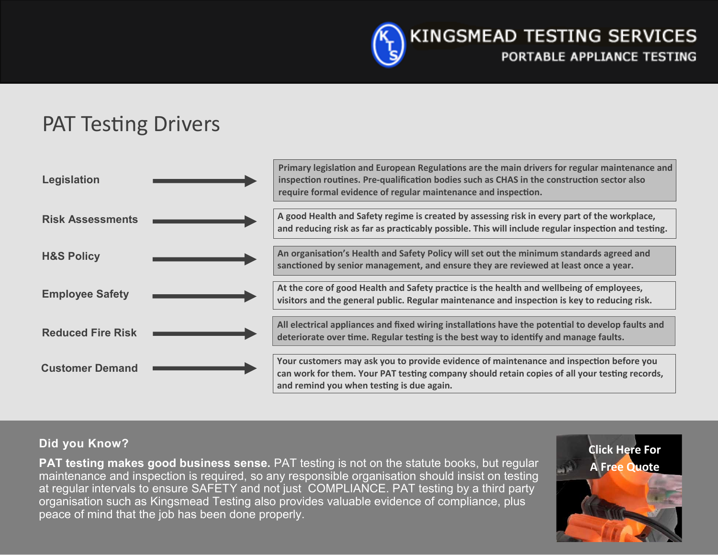

# PAT Testing Drivers



### **Did you Know?**

**PAT testing makes good business sense.** PAT testing is not on the statute books, but regular maintenance and inspection is required, so any responsible organisation should insist on testing at regular intervals to ensure SAFETY and not just COMPLIANCE. PAT testing by a third party organisation such as Kingsmead Testing also provides valuable evidence of compliance, plus peace of mind that the job has been done properly.

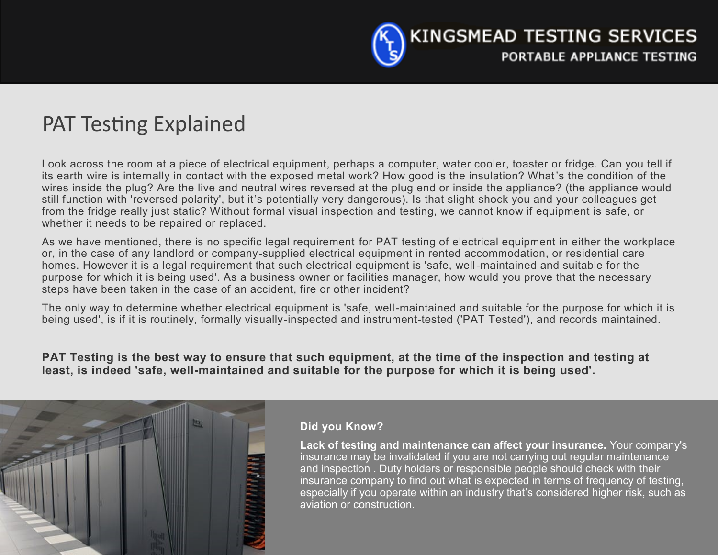

## PAT Testing Explained

Look across the room at a piece of electrical equipment, perhaps a computer, water cooler, toaster or fridge. Can you tell if its earth wire is internally in contact with the exposed metal work? How good is the insulation? What's the condition of the wires inside the plug? Are the live and neutral wires reversed at the plug end or inside the appliance? (the appliance would still function with 'reversed polarity', but it's potentially very dangerous). Is that slight shock you and your colleagues get from the fridge really just static? Without formal visual inspection and testing, we cannot know if equipment is safe, or whether it needs to be repaired or replaced.

As we have mentioned, there is no specific legal requirement for PAT testing of electrical equipment in either the workplace or, in the case of any landlord or company-supplied electrical equipment in rented accommodation, or residential care homes. However it is a legal requirement that such electrical equipment is 'safe, well-maintained and suitable for the purpose for which it is being used'. As a business owner or facilities manager, how would you prove that the necessary steps have been taken in the case of an accident, fire or other incident?

The only way to determine whether electrical equipment is 'safe, well-maintained and suitable for the purpose for which it is being used', is if it is routinely, formally visually-inspected and instrument-tested ('PAT Tested'), and records maintained.

**PAT Testing is the best way to ensure that such equipment, at the time of the inspection and testing at least, is indeed 'safe, well-maintained and suitable for the purpose for which it is being used'.**



### **Did you Know?**

**Lack of testing and maintenance can affect your insurance.** Your company's insurance may be invalidated if you are not carrying out regular maintenance and inspection . Duty holders or responsible people should check with their insurance company to find out what is expected in terms of frequency of testing, especially if you operate within an industry that's considered higher risk, such as aviation or construction.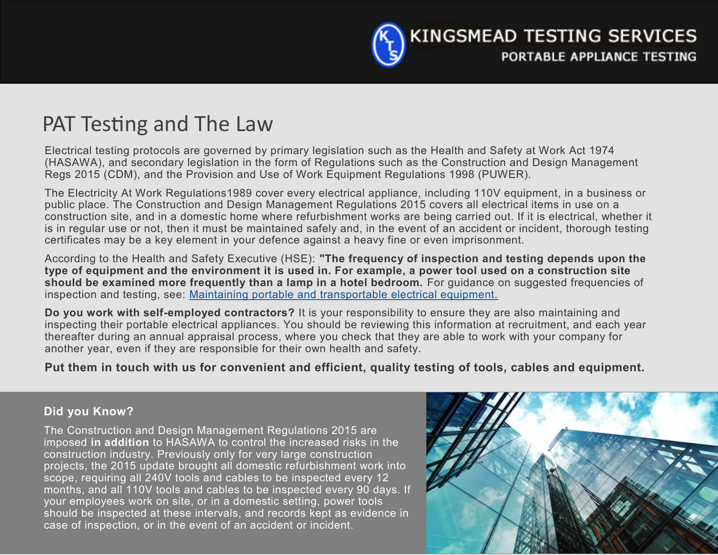

# PAT Testing and The Law

Electrical testing protocols are governed by primary legislation such as the Health and Safety at Work Act 1974 (HASAWA), and secondary legislation in the form of Regulations such as the Construction and Design Management Regs 2015 (CDM), and the Provision and Use of Work Equipment Regulations 1998 (PUWER).

The Electricity At Work Regulations1989 cover every electrical appliance, including 110V equipment, in a business or public place. The Construction and Design Management Regulations 2015 covers all electrical items in use on a construction site, and in a domestic home where refurbishment works are being carried out. If it is electrical, whether it is in regular use or not, then it must be maintained safely and, in the event of an accident or incident, thorough testing certificates may be a key element in your defence against a heavy fine or even imprisonment.

According to the Health and Safety Executive (HSE): **"The frequency of inspection and testing depends upon the type of equipment and the environment it is used in. For example, a power tool used on a construction site should be examined more frequently than a lamp in a hotel bedroom.** For guidance on suggested frequencies of inspection and testing, see: [Maintaining portable and transportable electrical equipment.](http://www.hse.gov.uk/pubns/books/hsg107.htm)

**Do you work with self-employed contractors?** It is your responsibility to ensure they are also maintaining and inspecting their portable electrical appliances. You should be reviewing this information at recruitment, and each year thereafter during an annual appraisal process, where you check that they are able to work with your company for another year, even if they are responsible for their own health and safety.

**Put them in touch with us for convenient and efficient, quality testing of tools, cables and equipment.**

### **Did you Know?**

The Construction and Design Management Regulations 2015 are imposed **in addition** to HASAWA to control the increased risks in the construction industry. Previously only for very large construction projects, the 2015 update brought all domestic refurbishment work into scope, requiring all 240V tools and cables to be inspected every 12 months, and all 110V tools and cables to be inspected every 90 days. If your employees work on site, or in a domestic setting, power tools should be inspected at these intervals, and records kept as evidence in case of inspection, or in the event of an accident or incident.

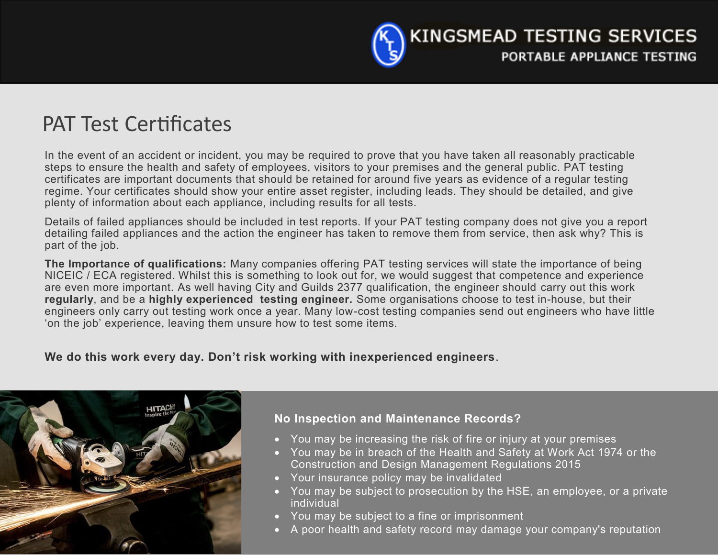

## PAT Test Certificates

In the event of an accident or incident, you may be required to prove that you have taken all reasonably practicable steps to ensure the health and safety of employees, visitors to your premises and the general public. PAT testing certificates are important documents that should be retained for around five years as evidence of a regular testing regime. Your certificates should show your entire asset register, including leads. They should be detailed, and give plenty of information about each appliance, including results for all tests.

Details of failed appliances should be included in test reports. If your PAT testing company does not give you a report detailing failed appliances and the action the engineer has taken to remove them from service, then ask why? This is part of the job.

**The Importance of qualifications:** Many companies offering PAT testing services will state the importance of being NICEIC / ECA registered. Whilst this is something to look out for, we would suggest that competence and experience are even more important. As well having City and Guilds 2377 qualification, the engineer should carry out this work **regularly**, and be a **highly experienced testing engineer.** Some organisations choose to test in-house, but their engineers only carry out testing work once a year. Many low-cost testing companies send out engineers who have little 'on the job' experience, leaving them unsure how to test some items.

**We do this work every day. Don't risk working with inexperienced engineers**.



### **No Inspection and Maintenance Records?**

- You may be increasing the risk of fire or injury at your premises
- You may be in breach of the Health and Safety at Work Act 1974 or the Construction and Design Management Regulations 2015
- Your insurance policy may be invalidated
- You may be subject to prosecution by the HSE, an employee, or a private individual
- You may be subject to a fine or imprisonment
- A poor health and safety record may damage your company's reputation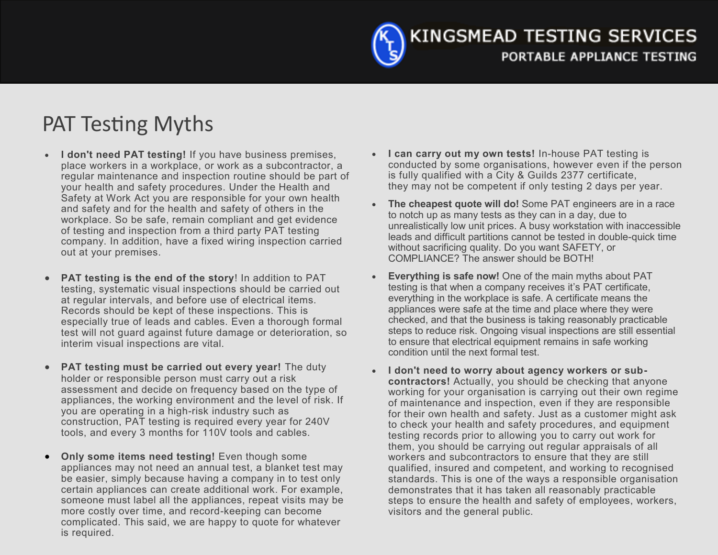KINGSMEAD TESTING SERVICES PORTABLE APPLIANCE TESTING

# PAT Testing Myths

- **I don't need PAT testing!** If you have business premises, place workers in a workplace, or work as a subcontractor, a regular maintenance and inspection routine should be part of your health and safety procedures. Under the Health and Safety at Work Act you are responsible for your own health and safety and for the health and safety of others in the workplace. So be safe, remain compliant and get evidence of testing and inspection from a third party PAT testing company. In addition, have a fixed wiring inspection carried out at your premises.
- **PAT testing is the end of the story**! In addition to PAT testing, systematic visual inspections should be carried out at regular intervals, and before use of electrical items. Records should be kept of these inspections. This is especially true of leads and cables. Even a thorough formal test will not guard against future damage or deterioration, so interim visual inspections are vital.
- **PAT testing must be carried out every year!** The duty holder or responsible person must carry out a risk assessment and decide on frequency based on the type of appliances, the working environment and the level of risk. If you are operating in a high-risk industry such as construction, PAT testing is required every year for 240V tools, and every 3 months for 110V tools and cables.
- **Only some items need testing!** Even though some appliances may not need an annual test, a blanket test may be easier, simply because having a company in to test only certain appliances can create additional work. For example, someone must label all the appliances, repeat visits may be more costly over time, and record-keeping can become complicated. This said, we are happy to quote for whatever is required.
- **I can carry out my own tests!** In-house PAT testing is conducted by some organisations, however even if the person is fully qualified with a City & Guilds 2377 certificate, they may not be competent if only testing 2 days per year.
- **The cheapest quote will do!** Some PAT engineers are in a race to notch up as many tests as they can in a day, due to unrealistically low unit prices. A busy workstation with inaccessible leads and difficult partitions cannot be tested in double-quick time without sacrificing quality. Do you want SAFETY, or COMPLIANCE? The answer should be BOTH!
- **Everything is safe now!** One of the main myths about PAT testing is that when a company receives it's PAT certificate, everything in the workplace is safe. A certificate means the appliances were safe at the time and place where they were checked, and that the business is taking reasonably practicable steps to reduce risk. Ongoing visual inspections are still essential to ensure that electrical equipment remains in safe working condition until the next formal test.
- **I don't need to worry about agency workers or subcontractors!** Actually, you should be checking that anyone working for your organisation is carrying out their own regime of maintenance and inspection, even if they are responsible for their own health and safety. Just as a customer might ask to check your health and safety procedures, and equipment testing records prior to allowing you to carry out work for them, you should be carrying out regular appraisals of all workers and subcontractors to ensure that they are still qualified, insured and competent, and working to recognised standards. This is one of the ways a responsible organisation demonstrates that it has taken all reasonably practicable steps to ensure the health and safety of employees, workers, visitors and the general public.